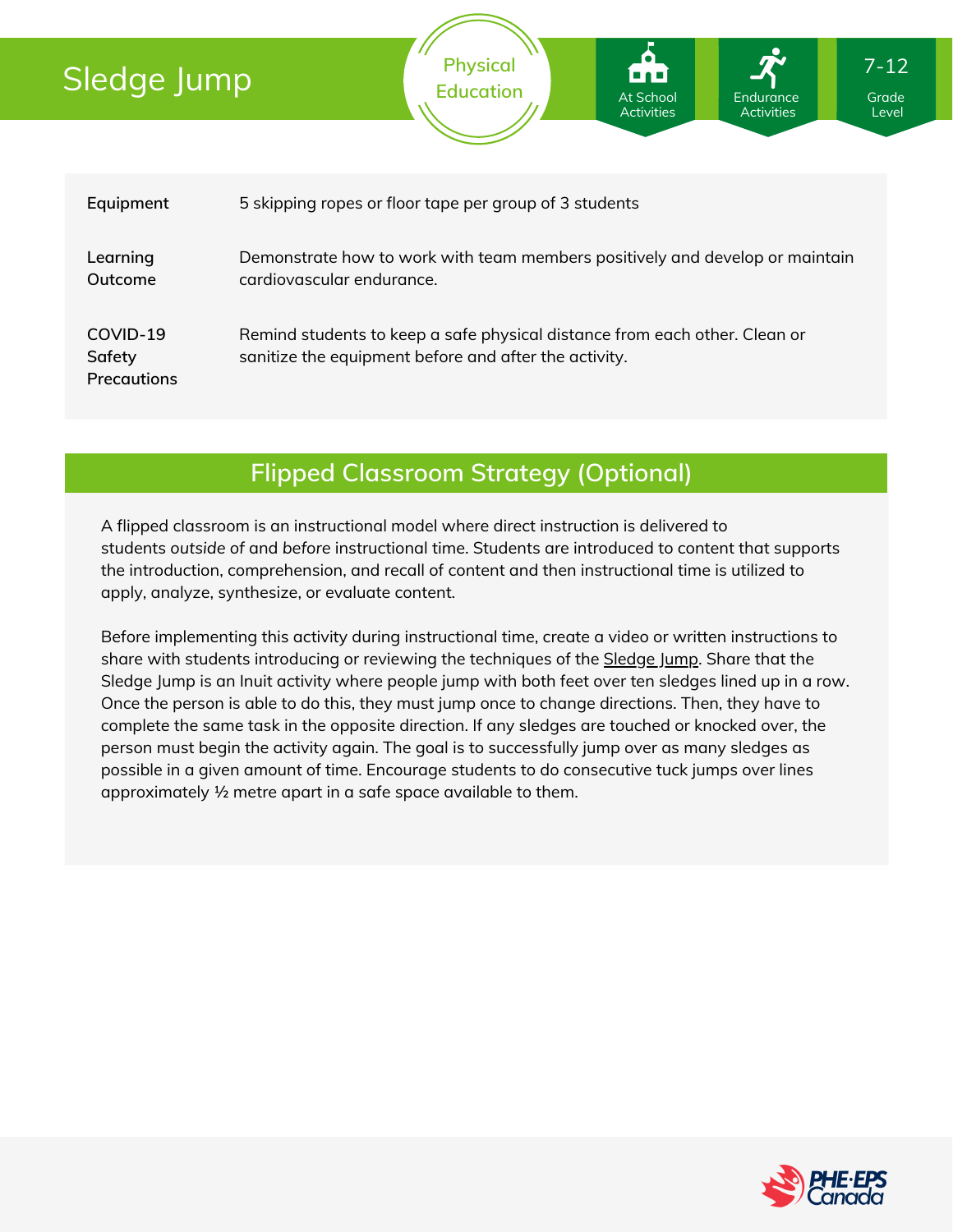# Sledge Jump



**Physical**

### **Flipped Classroom Strategy (Optional)**

A flipped classroom is an instructional model where direct instruction is delivered to students *outside of* and *before* instructional time. Students are introduced to content that supports the introduction, comprehension, and recall of content and then instructional time is utilized to apply, analyze, synthesize, or evaluate content.

Before implementing this activity during instructional time, create a video or written instructions to share with students introducing or reviewing the techniques of the **[Sledge](https://www.youtube.com/watch?v=mft_AD38pZs) Jump**. Share that the Sledge Jump is an Inuit activity where people jump with both feet over ten sledges lined up in a row. Once the person is able to do this, they must jump once to change directions. Then, they have to complete the same task in the opposite direction. If any sledges are touched or knocked over, the person must begin the activity again. The goal is to successfully jump over as many sledges as possible in a given amount of time. Encourage students to do consecutive tuck jumps over lines approximately ½ metre apart in a safe space available to them.



7-12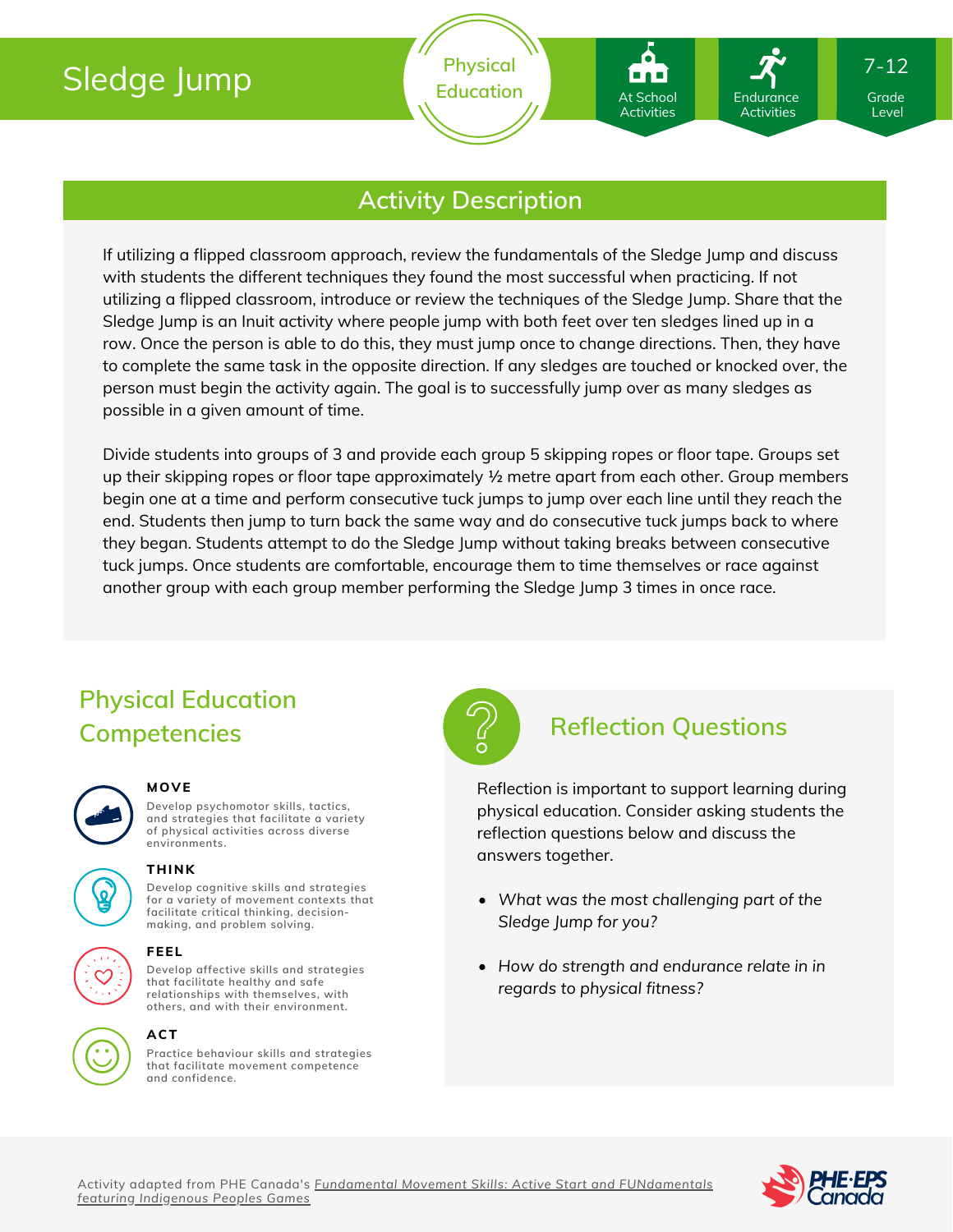# Sledge Jump

**Physical** Education **At School** Endurance Grade At School Activities Endurance **Activities** 

Level

7-12

### **Activity Description**

If utilizing a flipped classroom approach, review the fundamentals of the Sledge Jump and discuss with students the different techniques they found the most successful when practicing. If not utilizing a flipped classroom, introduce or review the techniques of the Sledge Jump. Share that the Sledge Jump is an Inuit activity where people jump with both feet over ten sledges lined up in a row. Once the person is able to do this, they must jump once to change directions. Then, they have to complete the same task in the opposite direction. If any sledges are touched or knocked over, the person must begin the activity again. The goal is to successfully jump over as many sledges as possible in a given amount of time.

Divide students into groups of 3 and provide each group 5 skipping ropes or floor tape. Groups set up their skipping ropes or floor tape approximately ½ metre apart from each other. Group members begin one at a time and perform consecutive tuck jumps to jump over each line until they reach the end. Students then jump to turn back the same way and do consecutive tuck jumps back to where they began. Students attempt to do the Sledge Jump without taking breaks between consecutive tuck jumps. Once students are comfortable, encourage them to time themselves or race against another group with each group member performing the Sledge Jump 3 times in once race.

## **Physical Education Competencies Reflection Questions**



### **MOVE**

**Develop psychomotor skills, tactics, and strategies that facilitate a variety of physical activities across diverse environments.**



#### **THINK**

**Develop cognitive skills and strategies for a variety of movement contexts that facilitate critical thinking, decision making, and problem solving.**

#### **FEEL**

**Develop affective skills and strategies that facilitate healthy and safe relationships with themselves, with others, and with their environment.**

### **ACT**

**Practice behaviour skills and strategies that facilitate movement competence and confidence.**



Reflection is important to support learning during physical education. Consider asking students the reflection questions below and discuss the answers together.

- *What was the most challenging part of the Sledge Jump for you?*
- *How do strength and endurance relate in in regards to physical fitness?*